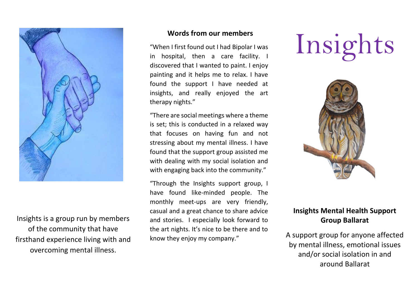

Insights is a group run by members of the community that have firsthand experience living with and overcoming mental illness.

#### **Words from our members**

"When I first found out I had Bipolar I was in hospital, then a care facility. I discovered that I wanted to paint. I enjoy painting and it helps me to relax. I have found the support I have needed at insights, and really enjoyed the art therapy nights."

"There are social meetings where a theme is set; this is conducted in a relaxed way that focuses on having fun and not stressing about my mental illness. I have found that the support group assisted me with dealing with my social isolation and with engaging back into the community."

"Through the Insights support group, I have found like-minded people. The monthly meet-ups are very friendly, casual and a great chance to share advice and stories. I especially look forward to the art nights. It's nice to be there and to know they enjoy my company."

# Insights



## **Insights Mental Health Support Group Ballarat**

A support group for anyone affected by mental illness, emotional issues and/or social isolation in and around Ballarat